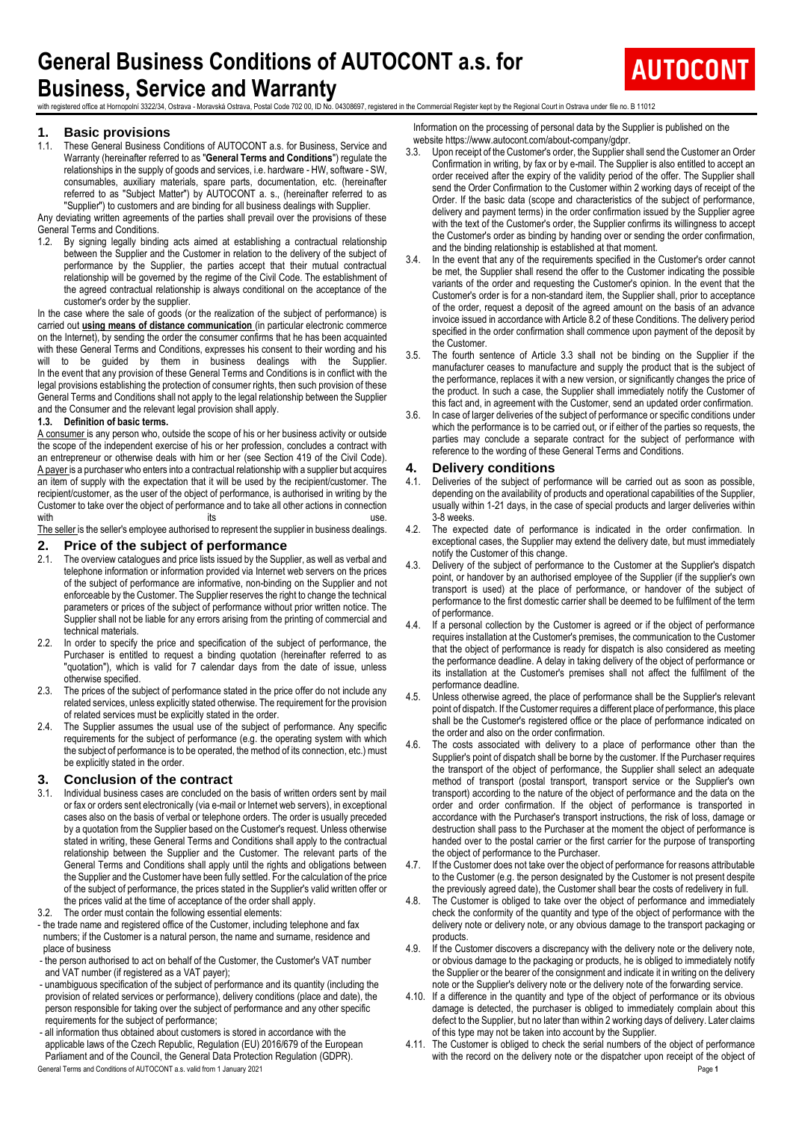# **General Business Conditions of AUTOCONT a.s. for Business, Service and Warranty**



with registered office at Hornopolni 3322/34, Ostrava - Moravská Ostrava, Postal Code 702 00, ID No. 04308697, registered in the Commercial Register kept by the Regional Court in Ostrava under file no. B 11012

## **1. Basic provisions**

1.1. These General Business Conditions of AUTOCONT a.s. for Business, Service and Warranty (hereinafter referred to as "**General Terms and Conditions**") regulate the relationships in the supply of goods and services, i.e. hardware - HW, software - SW, consumables, auxiliary materials, spare parts, documentation, etc. (hereinafter referred to as "Subject Matter") by AUTOCONT a. s., (hereinafter referred to as "Supplier") to customers and are binding for all business dealings with Supplier.

Any deviating written agreements of the parties shall prevail over the provisions of these General Terms and Conditions.

1.2. By signing legally binding acts aimed at establishing a contractual relationship between the Supplier and the Customer in relation to the delivery of the subject of performance by the Supplier, the parties accept that their mutual contractual relationship will be governed by the regime of the Civil Code. The establishment of the agreed contractual relationship is always conditional on the acceptance of the customer's order by the supplier.

In the case where the sale of goods (or the realization of the subject of performance) is carried out **using means of distance communication** (in particular electronic commerce on the Internet), by sending the order the consumer confirms that he has been acquainted with these General Terms and Conditions, expresses his consent to their wording and his will to be guided by them in business dealings with the Supplier. In the event that any provision of these General Terms and Conditions is in conflict with the legal provisions establishing the protection of consumer rights, then such provision of these General Terms and Conditions shall not apply to the legal relationship between the Supplier and the Consumer and the relevant legal provision shall apply.

#### **1.3. Definition of basic terms.**

A consumer is any person who, outside the scope of his or her business activity or outside the scope of the independent exercise of his or her profession, concludes a contract with an entrepreneur or otherwise deals with him or her (see Section 419 of the Civil Code). A payer is a purchaser who enters into a contractual relationship with a supplier but acquires an item of supply with the expectation that it will be used by the recipient/customer. The recipient/customer, as the user of the object of performance, is authorised in writing by the Customer to take over the object of performance and to take all other actions in connection<br>with with the contract of the contract of the contract of the contract of the contract of the contract of the contract of the contract of the contract of the contract of the contract of the contract of the contract of the contr

The seller is the seller's employee authorised to represent the supplier in business dealings.

## **2. Price of the subject of performance** 2.1. The overview catalogues and price lists issued by the Supp

- The overview catalogues and price lists issued by the Supplier, as well as verbal and telephone information or information provided via Internet web servers on the prices of the subject of performance are informative, non-binding on the Supplier and not enforceable by the Customer. The Supplier reserves the right to change the technical parameters or prices of the subject of performance without prior written notice. The Supplier shall not be liable for any errors arising from the printing of commercial and technical materials.
- 2.2. In order to specify the price and specification of the subject of performance, the Purchaser is entitled to request a binding quotation (hereinafter referred to as "quotation"), which is valid for 7 calendar days from the date of issue, unless otherwise specified.
- 2.3. The prices of the subject of performance stated in the price offer do not include any related services, unless explicitly stated otherwise. The requirement for the provision of related services must be explicitly stated in the order.
- 2.4. The Supplier assumes the usual use of the subject of performance. Any specific requirements for the subject of performance (e.g. the operating system with which the subject of performance is to be operated, the method of its connection, etc.) must be explicitly stated in the order.

## **3. Conclusion of the contract** 3.1 Individual business cases are concluded on

- Individual business cases are concluded on the basis of written orders sent by mail or fax or orders sent electronically (via e-mail or Internet web servers), in exceptional cases also on the basis of verbal or telephone orders. The order is usually preceded by a quotation from the Supplier based on the Customer's request. Unless otherwise stated in writing, these General Terms and Conditions shall apply to the contractual relationship between the Supplier and the Customer. The relevant parts of the General Terms and Conditions shall apply until the rights and obligations between the Supplier and the Customer have been fully settled. For the calculation of the price of the subject of performance, the prices stated in the Supplier's valid written offer or the prices valid at the time of acceptance of the order shall apply.
- 3.2. The order must contain the following essential elements:
- the trade name and registered office of the Customer, including telephone and fax numbers; if the Customer is a natural person, the name and surname, residence and place of business
- the person authorised to act on behalf of the Customer, the Customer's VAT number and VAT number (if registered as a VAT payer);
- unambiguous specification of the subject of performance and its quantity (including the provision of related services or performance), delivery conditions (place and date), the person responsible for taking over the subject of performance and any other specific requirements for the subject of performance;
- all information thus obtained about customers is stored in accordance with the applicable laws of the Czech Republic, Regulation (EU) 2016/679 of the European Parliament and of the Council, the General Data Protection Regulation (GDPR).

Information on the processing of personal data by the Supplier is published on the

- website https://www.autocont.com/about-company/gdpr.<br>3.3. Upon receipt of the Customer's order, the Supplier s Upon receipt of the Customer's order, the Supplier shall send the Customer an Order Confirmation in writing, by fax or by e-mail. The Supplier is also entitled to accept an order received after the expiry of the validity period of the offer. The Supplier shall send the Order Confirmation to the Customer within 2 working days of receipt of the Order. If the basic data (scope and characteristics of the subject of performance, delivery and payment terms) in the order confirmation issued by the Supplier agree with the text of the Customer's order, the Supplier confirms its willingness to accept the Customer's order as binding by handing over or sending the order confirmation, and the binding relationship is established at that moment.
- In the event that any of the requirements specified in the Customer's order cannot be met, the Supplier shall resend the offer to the Customer indicating the possible variants of the order and requesting the Customer's opinion. In the event that the Customer's order is for a non-standard item, the Supplier shall, prior to acceptance of the order, request a deposit of the agreed amount on the basis of an advance invoice issued in accordance with Article 8.2 of these Conditions. The delivery period specified in the order confirmation shall commence upon payment of the deposit by the Customer.
- 3.5. The fourth sentence of Article 3.3 shall not be binding on the Supplier if the manufacturer ceases to manufacture and supply the product that is the subject of the performance, replaces it with a new version, or significantly changes the price of the product. In such a case, the Supplier shall immediately notify the Customer of this fact and, in agreement with the Customer, send an updated order confirmation.
- 3.6. In case of larger deliveries of the subject of performance or specific conditions under which the performance is to be carried out, or if either of the parties so requests, the parties may conclude a separate contract for the subject of performance with reference to the wording of these General Terms and Conditions.

#### **4. Delivery conditions**

- 4.1. Deliveries of the subject of performance will be carried out as soon as possible, depending on the availability of products and operational capabilities of the Supplier, usually within 1-21 days, in the case of special products and larger deliveries within 3-8 weeks.
- 4.2. The expected date of performance is indicated in the order confirmation. In exceptional cases, the Supplier may extend the delivery date, but must immediately notify the Customer of this change.
- Delivery of the subject of performance to the Customer at the Supplier's dispatch point, or handover by an authorised employee of the Supplier (if the supplier's own transport is used) at the place of performance, or handover of the subject of performance to the first domestic carrier shall be deemed to be fulfilment of the term of performance.
- 4.4. If a personal collection by the Customer is agreed or if the object of performance requires installation at the Customer's premises, the communication to the Customer that the object of performance is ready for dispatch is also considered as meeting the performance deadline. A delay in taking delivery of the object of performance or its installation at the Customer's premises shall not affect the fulfilment of the performance deadline.
- 4.5. Unless otherwise agreed, the place of performance shall be the Supplier's relevant point of dispatch. If the Customer requires a different place of performance, this place shall be the Customer's registered office or the place of performance indicated on the order and also on the order confirmation.
- 4.6. The costs associated with delivery to a place of performance other than the Supplier's point of dispatch shall be borne by the customer. If the Purchaser requires the transport of the object of performance, the Supplier shall select an adequate method of transport (postal transport, transport service or the Supplier's own transport) according to the nature of the object of performance and the data on the order and order confirmation. If the object of performance is transported in accordance with the Purchaser's transport instructions, the risk of loss, damage or destruction shall pass to the Purchaser at the moment the object of performance is handed over to the postal carrier or the first carrier for the purpose of transporting the object of performance to the Purchaser.
- 4.7. If the Customer does not take over the object of performance for reasons attributable to the Customer (e.g. the person designated by the Customer is not present despite the previously agreed date), the Customer shall bear the costs of redelivery in full.
- 4.8. The Customer is obliged to take over the object of performance and immediately check the conformity of the quantity and type of the object of performance with the delivery note or delivery note, or any obvious damage to the transport packaging or products.
- 4.9. If the Customer discovers a discrepancy with the delivery note or the delivery note, or obvious damage to the packaging or products, he is obliged to immediately notify the Supplier or the bearer of the consignment and indicate it in writing on the delivery note or the Supplier's delivery note or the delivery note of the forwarding service.
- 4.10. If a difference in the quantity and type of the object of performance or its obvious damage is detected, the purchaser is obliged to immediately complain about this defect to the Supplier, but no later than within 2 working days of delivery. Later claims of this type may not be taken into account by the Supplier.
- General Terms and Conditions of AUTOCONT a.s. valid from 1 January 2021 **Page 1** 4.11. The Customer is obliged to check the serial numbers of the object of performance with the record on the delivery note or the dispatcher upon receipt of the object of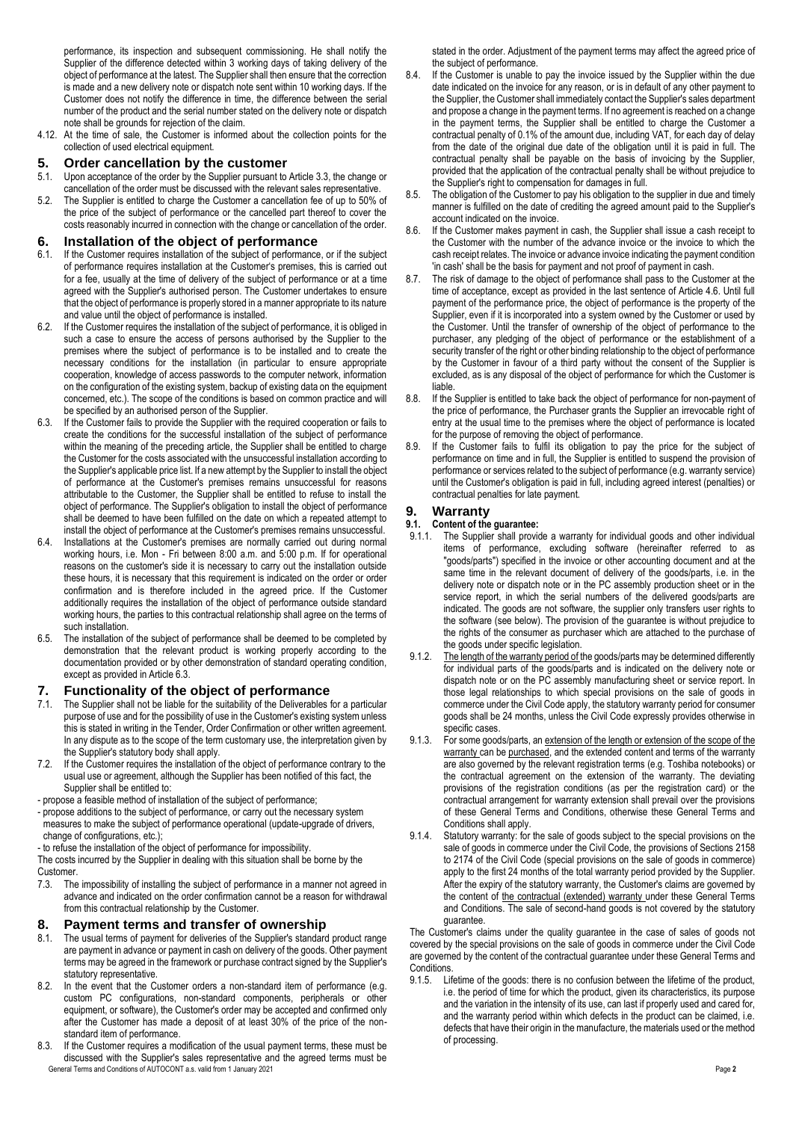performance, its inspection and subsequent commissioning. He shall notify the Supplier of the difference detected within 3 working days of taking delivery of the object of performance at the latest. The Supplier shall then ensure that the correction is made and a new delivery note or dispatch note sent within 10 working days. If the Customer does not notify the difference in time, the difference between the serial number of the product and the serial number stated on the delivery note or dispatch note shall be grounds for rejection of the claim.

4.12. At the time of sale, the Customer is informed about the collection points for the collection of used electrical equipment.

## **5. Order cancellation by the customer**

- 5.1. Upon acceptance of the order by the Supplier pursuant to Article 3.3, the change or cancellation of the order must be discussed with the relevant sales representative.
- 5.2. The Supplier is entitled to charge the Customer a cancellation fee of up to 50% of the price of the subject of performance or the cancelled part thereof to cover the costs reasonably incurred in connection with the change or cancellation of the order.

# **6. Installation of the object of performance** 6.1. If the Customer requires installation of the subject of performance

- If the Customer requires installation of the subject of performance, or if the subject of performance requires installation at the Customer's premises, this is carried out for a fee, usually at the time of delivery of the subject of performance or at a time agreed with the Supplier's authorised person. The Customer undertakes to ensure that the object of performance is properly stored in a manner appropriate to its nature and value until the object of performance is installed.
- 6.2. If the Customer requires the installation of the subject of performance, it is obliged in such a case to ensure the access of persons authorised by the Supplier to the premises where the subject of performance is to be installed and to create the necessary conditions for the installation (in particular to ensure appropriate cooperation, knowledge of access passwords to the computer network, information on the configuration of the existing system, backup of existing data on the equipment concerned, etc.). The scope of the conditions is based on common practice and will be specified by an authorised person of the Supplier.
- 6.3. If the Customer fails to provide the Supplier with the required cooperation or fails to create the conditions for the successful installation of the subject of performance within the meaning of the preceding article, the Supplier shall be entitled to charge the Customer for the costs associated with the unsuccessful installation according to the Supplier's applicable price list. If a new attempt by the Supplier to install the object of performance at the Customer's premises remains unsuccessful for reasons attributable to the Customer, the Supplier shall be entitled to refuse to install the object of performance. The Supplier's obligation to install the object of performance shall be deemed to have been fulfilled on the date on which a repeated attempt to install the object of performance at the Customer's premises remains unsuccessful.
- 6.4. Installations at the Customer's premises are normally carried out during normal working hours, i.e. Mon - Fri between 8:00 a.m. and 5:00 p.m. If for operational reasons on the customer's side it is necessary to carry out the installation outside these hours, it is necessary that this requirement is indicated on the order or order confirmation and is therefore included in the agreed price. If the Customer additionally requires the installation of the object of performance outside standard working hours, the parties to this contractual relationship shall agree on the terms of such installation.
- 6.5. The installation of the subject of performance shall be deemed to be completed by demonstration that the relevant product is working properly according to the documentation provided or by other demonstration of standard operating condition, except as provided in Article 6.3.

## **7. Functionality of the object of performance 7.1** The Supplier shall not be liable for the suitability of the Deliverables is

- The Supplier shall not be liable for the suitability of the Deliverables for a particular purpose of use and for the possibility of use in the Customer's existing system unless this is stated in writing in the Tender, Order Confirmation or other written agreement. In any dispute as to the scope of the term customary use, the interpretation given by the Supplier's statutory body shall apply.
- 7.2. If the Customer requires the installation of the object of performance contrary to the usual use or agreement, although the Supplier has been notified of this fact, the Supplier shall be entitled to:
- propose a feasible method of installation of the subject of performance;
- propose additions to the subject of performance, or carry out the necessary system measures to make the subject of performance operational (update-upgrade of drivers, change of configurations, etc.);
- to refuse the installation of the object of performance for impossibility.

The costs incurred by the Supplier in dealing with this situation shall be borne by the Customer.

7.3. The impossibility of installing the subject of performance in a manner not agreed in advance and indicated on the order confirmation cannot be a reason for withdrawal from this contractual relationship by the Customer.

## **8. Payment terms and transfer of ownership**

- 8.1. The usual terms of payment for deliveries of the Supplier's standard product range are payment in advance or payment in cash on delivery of the goods. Other payment terms may be agreed in the framework or purchase contract signed by the Supplier's statutory representative.
- 8.2. In the event that the Customer orders a non-standard item of performance (e.g. custom PC configurations, non-standard components, peripherals or other equipment, or software), the Customer's order may be accepted and confirmed only after the Customer has made a deposit of at least 30% of the price of the nonstandard item of performance.
- General Terms and Conditions of AUTOCONT a.s. valid from 1 January 2021 Page **2** 8.3. If the Customer requires a modification of the usual payment terms, these must be discussed with the Supplier's sales representative and the agreed terms must be

stated in the order. Adjustment of the payment terms may affect the agreed price of the subject of performance.

- 8.4. If the Customer is unable to pay the invoice issued by the Supplier within the due date indicated on the invoice for any reason, or is in default of any other payment to the Supplier, the Customer shall immediately contact the Supplier's sales department and propose a change in the payment terms. If no agreement is reached on a change in the payment terms, the Supplier shall be entitled to charge the Customer a contractual penalty of 0.1% of the amount due, including VAT, for each day of delay from the date of the original due date of the obligation until it is paid in full. The contractual penalty shall be payable on the basis of invoicing by the Supplier, provided that the application of the contractual penalty shall be without prejudice to the Supplier's right to compensation for damages in full.
- 8.5. The obligation of the Customer to pay his obligation to the supplier in due and timely manner is fulfilled on the date of crediting the agreed amount paid to the Supplier's account indicated on the invoice.
- 8.6. If the Customer makes payment in cash, the Supplier shall issue a cash receipt to the Customer with the number of the advance invoice or the invoice to which the cash receipt relates. The invoice or advance invoice indicating the payment condition 'in cash' shall be the basis for payment and not proof of payment in cash.
- 8.7. The risk of damage to the object of performance shall pass to the Customer at the time of acceptance, except as provided in the last sentence of Article 4.6. Until full payment of the performance price, the object of performance is the property of the Supplier, even if it is incorporated into a system owned by the Customer or used by the Customer. Until the transfer of ownership of the object of performance to the purchaser, any pledging of the object of performance or the establishment of a security transfer of the right or other binding relationship to the object of performance by the Customer in favour of a third party without the consent of the Supplier is excluded, as is any disposal of the object of performance for which the Customer is liable.
- 8.8. If the Supplier is entitled to take back the object of performance for non-payment of the price of performance, the Purchaser grants the Supplier an irrevocable right of entry at the usual time to the premises where the object of performance is located for the purpose of removing the object of performance.
- 8.9. If the Customer fails to fulfil its obligation to pay the price for the subject of performance on time and in full, the Supplier is entitled to suspend the provision of performance or services related to the subject of performance (e.g. warranty service) until the Customer's obligation is paid in full, including agreed interest (penalties) or contractual penalties for late payment.

## **9. Warranty**

## **9.1. Content of the guarantee:**

- 9.1.1. The Supplier shall provide a warranty for individual goods and other individual items of performance, excluding software (hereinafter referred to as "goods/parts") specified in the invoice or other accounting document and at the same time in the relevant document of delivery of the goods/parts, i.e. in the delivery note or dispatch note or in the PC assembly production sheet or in the service report, in which the serial numbers of the delivered goods/parts are indicated. The goods are not software, the supplier only transfers user rights to the software (see below). The provision of the guarantee is without prejudice to the rights of the consumer as purchaser which are attached to the purchase of the goods under specific legislation.
- 9.1.2. The length of the warranty period of the goods/parts may be determined differently for individual parts of the goods/parts and is indicated on the delivery note or dispatch note or on the PC assembly manufacturing sheet or service report. In those legal relationships to which special provisions on the sale of goods in commerce under the Civil Code apply, the statutory warranty period for consumer goods shall be 24 months, unless the Civil Code expressly provides otherwise in specific cases.
- 9.1.3. For some goods/parts, an extension of the length or extension of the scope of the warranty can be purchased, and the extended content and terms of the warranty are also governed by the relevant registration terms (e.g. Toshiba notebooks) or the contractual agreement on the extension of the warranty. The deviating provisions of the registration conditions (as per the registration card) or the contractual arrangement for warranty extension shall prevail over the provisions of these General Terms and Conditions, otherwise these General Terms and Conditions shall apply.
- 9.1.4. Statutory warranty: for the sale of goods subject to the special provisions on the sale of goods in commerce under the Civil Code, the provisions of Sections 2158 to 2174 of the Civil Code (special provisions on the sale of goods in commerce) apply to the first 24 months of the total warranty period provided by the Supplier. After the expiry of the statutory warranty, the Customer's claims are governed by the content of the contractual (extended) warranty under these General Terms and Conditions. The sale of second-hand goods is not covered by the statutory guarantee.

The Customer's claims under the quality guarantee in the case of sales of goods not covered by the special provisions on the sale of goods in commerce under the Civil Code are governed by the content of the contractual guarantee under these General Terms and **Conditions** 

9.1.5. Lifetime of the goods: there is no confusion between the lifetime of the product, i.e. the period of time for which the product, given its characteristics, its purpose and the variation in the intensity of its use, can last if properly used and cared for, and the warranty period within which defects in the product can be claimed, i.e. defects that have their origin in the manufacture, the materials used or the method of processing.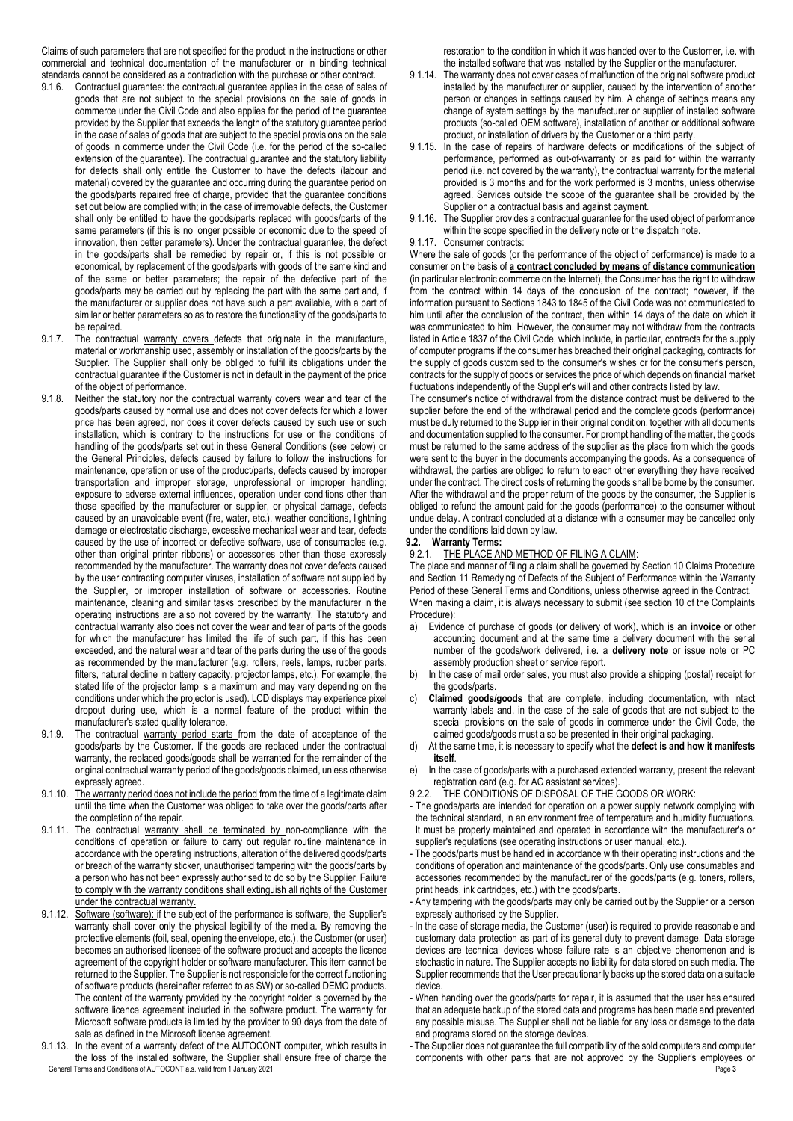Claims of such parameters that are not specified for the product in the instructions or other commercial and technical documentation of the manufacturer or in binding technical standards cannot be considered as a contradiction with the purchase or other contract.

- 9.1.6. Contractual guarantee: the contractual guarantee applies in the case of sales of goods that are not subject to the special provisions on the sale of goods in commerce under the Civil Code and also applies for the period of the guarantee provided by the Supplier that exceeds the length of the statutory guarantee period in the case of sales of goods that are subject to the special provisions on the sale of goods in commerce under the Civil Code (i.e. for the period of the so-called extension of the guarantee). The contractual guarantee and the statutory liability for defects shall only entitle the Customer to have the defects (labour and material) covered by the guarantee and occurring during the guarantee period on the goods/parts repaired free of charge, provided that the guarantee conditions set out below are complied with; in the case of irremovable defects, the Customer shall only be entitled to have the goods/parts replaced with goods/parts of the same parameters (if this is no longer possible or economic due to the speed of innovation, then better parameters). Under the contractual guarantee, the defect in the goods/parts shall be remedied by repair or, if this is not possible or economical, by replacement of the goods/parts with goods of the same kind and of the same or better parameters; the repair of the defective part of the goods/parts may be carried out by replacing the part with the same part and, if the manufacturer or supplier does not have such a part available, with a part of similar or better parameters so as to restore the functionality of the goods/parts to be repaired.
- 9.1.7. The contractual warranty covers defects that originate in the manufacture, material or workmanship used, assembly or installation of the goods/parts by the Supplier. The Supplier shall only be obliged to fulfil its obligations under the contractual guarantee if the Customer is not in default in the payment of the price of the object of performance.
- 9.1.8. Neither the statutory nor the contractual warranty covers wear and tear of the goods/parts caused by normal use and does not cover defects for which a lower price has been agreed, nor does it cover defects caused by such use or such installation, which is contrary to the instructions for use or the conditions of handling of the goods/parts set out in these General Conditions (see below) or the General Principles, defects caused by failure to follow the instructions for maintenance, operation or use of the product/parts, defects caused by improper transportation and improper storage, unprofessional or improper handling; exposure to adverse external influences, operation under conditions other than those specified by the manufacturer or supplier, or physical damage, defects caused by an unavoidable event (fire, water, etc.), weather conditions, lightning damage or electrostatic discharge, excessive mechanical wear and tear, defects caused by the use of incorrect or defective software, use of consumables (e.g. other than original printer ribbons) or accessories other than those expressly recommended by the manufacturer. The warranty does not cover defects caused by the user contracting computer viruses, installation of software not supplied by the Supplier, or improper installation of software or accessories. Routine maintenance, cleaning and similar tasks prescribed by the manufacturer in the operating instructions are also not covered by the warranty. The statutory and contractual warranty also does not cover the wear and tear of parts of the goods for which the manufacturer has limited the life of such part, if this has been exceeded, and the natural wear and tear of the parts during the use of the goods as recommended by the manufacturer (e.g. rollers, reels, lamps, rubber parts, filters, natural decline in battery capacity, projector lamps, etc.). For example, the stated life of the projector lamp is a maximum and may vary depending on the conditions under which the projector is used). LCD displays may experience pixel dropout during use, which is a normal feature of the product within the manufacturer's stated quality tolerance.
- 9.1.9. The contractual warranty period starts from the date of acceptance of the goods/parts by the Customer. If the goods are replaced under the contractual warranty, the replaced goods/goods shall be warranted for the remainder of the original contractual warranty period of the goods/goods claimed, unless otherwise expressly agreed.
- 9.1.10. The warranty period does not include the period from the time of a legitimate claim until the time when the Customer was obliged to take over the goods/parts after the completion of the repair.
- 9.1.11. The contractual warranty shall be terminated by non-compliance with the conditions of operation or failure to carry out regular routine maintenance in accordance with the operating instructions, alteration of the delivered goods/parts or breach of the warranty sticker, unauthorised tampering with the goods/parts by a person who has not been expressly authorised to do so by the Supplier. Failure to comply with the warranty conditions shall extinguish all rights of the Customer under the contractual warranty.
- 9.1.12. Software (software): if the subject of the performance is software, the Supplier's warranty shall cover only the physical legibility of the media. By removing the protective elements (foil, seal, opening the envelope, etc.), the Customer (or user) becomes an authorised licensee of the software product and accepts the licence agreement of the copyright holder or software manufacturer. This item cannot be returned to the Supplier. The Supplier is not responsible for the correct functioning of software products (hereinafter referred to as SW) or so-called DEMO products. The content of the warranty provided by the copyright holder is governed by the software licence agreement included in the software product. The warranty for Microsoft software products is limited by the provider to 90 days from the date of sale as defined in the Microsoft license agreement.
- General Terms and Conditions of AUTOCONT a.s. valid from 1 January 2021 **Page 3 Page 1 Page 1** 9.1.13. In the event of a warranty defect of the AUTOCONT computer, which results in the loss of the installed software, the Supplier shall ensure free of charge the

restoration to the condition in which it was handed over to the Customer, i.e. with the installed software that was installed by the Supplier or the manufacturer.

- 9.1.14. The warranty does not cover cases of malfunction of the original software product installed by the manufacturer or supplier, caused by the intervention of another person or changes in settings caused by him. A change of settings means any change of system settings by the manufacturer or supplier of installed software products (so-called OEM software), installation of another or additional software product, or installation of drivers by the Customer or a third party.
- 9.1.15. In the case of repairs of hardware defects or modifications of the subject of performance, performed as out-of-warranty or as paid for within the warranty period (i.e. not covered by the warranty), the contractual warranty for the material provided is 3 months and for the work performed is 3 months, unless otherwise agreed. Services outside the scope of the guarantee shall be provided by the Supplier on a contractual basis and against payment.
- 9.1.16. The Supplier provides a contractual guarantee for the used object of performance within the scope specified in the delivery note or the dispatch note.
- 9.1.17. Consumer contracts:

Where the sale of goods (or the performance of the object of performance) is made to a consumer on the basis of **a contract concluded by means of distance communication**  (in particular electronic commerce on the Internet), the Consumer has the right to withdraw from the contract within 14 days of the conclusion of the contract; however, if the information pursuant to Sections 1843 to 1845 of the Civil Code was not communicated to him until after the conclusion of the contract, then within 14 days of the date on which it was communicated to him. However, the consumer may not withdraw from the contracts listed in Article 1837 of the Civil Code, which include, in particular, contracts for the supply of computer programs if the consumer has breached their original packaging, contracts for the supply of goods customised to the consumer's wishes or for the consumer's person, contracts for the supply of goods or services the price of which depends on financial market fluctuations independently of the Supplier's will and other contracts listed by law.

The consumer's notice of withdrawal from the distance contract must be delivered to the supplier before the end of the withdrawal period and the complete goods (performance) must be duly returned to the Supplier in their original condition, together with all documents and documentation supplied to the consumer. For prompt handling of the matter, the goods must be returned to the same address of the supplier as the place from which the goods were sent to the buyer in the documents accompanying the goods. As a consequence of withdrawal, the parties are obliged to return to each other everything they have received under the contract. The direct costs of returning the goods shall be borne by the consumer. After the withdrawal and the proper return of the goods by the consumer, the Supplier is obliged to refund the amount paid for the goods (performance) to the consumer without undue delay. A contract concluded at a distance with a consumer may be cancelled only under the conditions laid down by law.

#### **9.2. Warranty Terms:**

9.2.1. THE PLACE AND METHOD OF FILING A CLAIM:

The place and manner of filing a claim shall be governed by Section 10 Claims Procedure and Section 11 Remedying of Defects of the Subject of Performance within the Warranty Period of these General Terms and Conditions, unless otherwise agreed in the Contract. When making a claim, it is always necessary to submit (see section 10 of the Complaints Procedure):

- a) Evidence of purchase of goods (or delivery of work), which is an **invoice** or other accounting document and at the same time a delivery document with the serial number of the goods/work delivered, i.e. a **delivery note** or issue note or PC assembly production sheet or service report.
- b) In the case of mail order sales, you must also provide a shipping (postal) receipt for the goods/parts.
- c) **Claimed goods/goods** that are complete, including documentation, with intact warranty labels and, in the case of the sale of goods that are not subject to the special provisions on the sale of goods in commerce under the Civil Code, the claimed goods/goods must also be presented in their original packaging.
- d) At the same time, it is necessary to specify what the **defect is and how it manifests itself**.
- e) In the case of goods/parts with a purchased extended warranty, present the relevant registration card (e.g. for AC assistant services).<br>922 THE CONDITIONS OF DISPOSAL OF THE (
- THE CONDITIONS OF DISPOSAL OF THE GOODS OR WORK:
- The goods/parts are intended for operation on a power supply network complying with the technical standard, in an environment free of temperature and humidity fluctuations. It must be properly maintained and operated in accordance with the manufacturer's or supplier's regulations (see operating instructions or user manual, etc.).
- The goods/parts must be handled in accordance with their operating instructions and the conditions of operation and maintenance of the goods/parts. Only use consumables and accessories recommended by the manufacturer of the goods/parts (e.g. toners, rollers, print heads, ink cartridges, etc.) with the goods/parts.
- Any tampering with the goods/parts may only be carried out by the Supplier or a person expressly authorised by the Supplier.
- In the case of storage media, the Customer (user) is required to provide reasonable and customary data protection as part of its general duty to prevent damage. Data storage devices are technical devices whose failure rate is an objective phenomenon and is stochastic in nature. The Supplier accepts no liability for data stored on such media. The Supplier recommends that the User precautionarily backs up the stored data on a suitable device.
- When handing over the goods/parts for repair, it is assumed that the user has ensured that an adequate backup of the stored data and programs has been made and prevented any possible misuse. The Supplier shall not be liable for any loss or damage to the data and programs stored on the storage devices.
- The Supplier does not guarantee the full compatibility of the sold computers and computer components with other parts that are not approved by the Supplier's employees or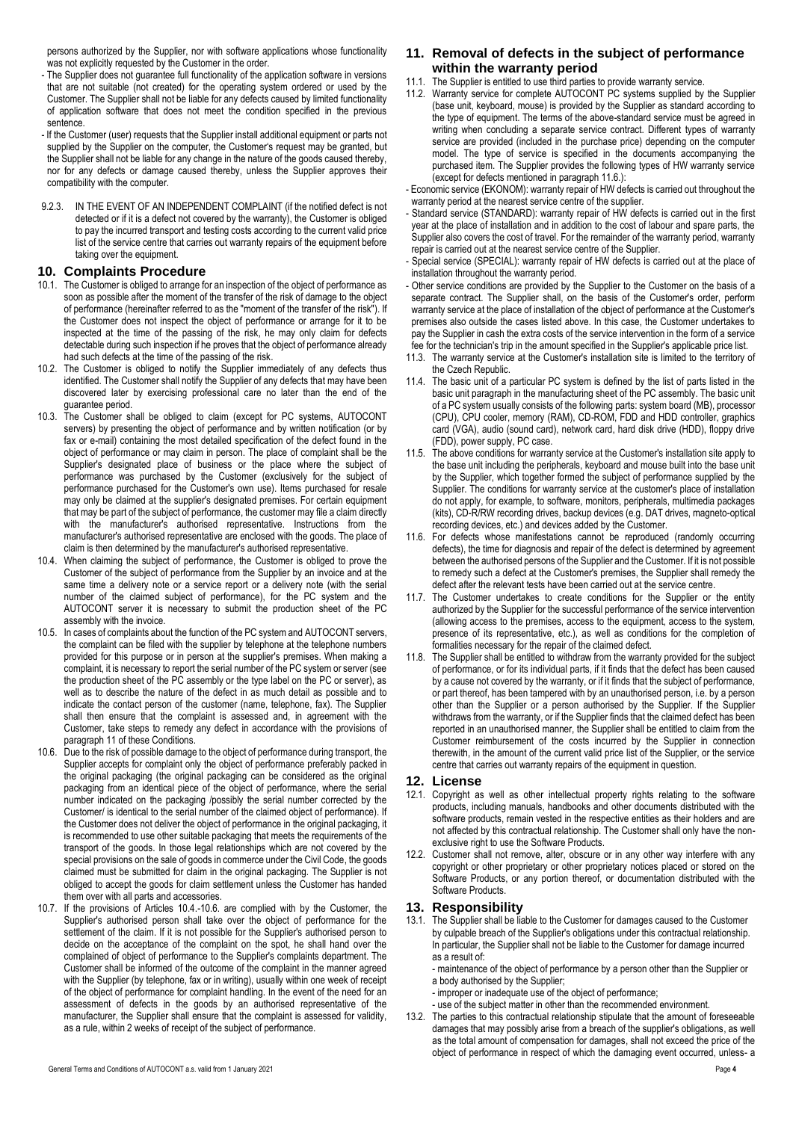persons authorized by the Supplier, nor with software applications whose functionality was not explicitly requested by the Customer in the order.

- The Supplier does not guarantee full functionality of the application software in versions that are not suitable (not created) for the operating system ordered or used by the Customer. The Supplier shall not be liable for any defects caused by limited functionality of application software that does not meet the condition specified in the previous sentence.
- If the Customer (user) requests that the Supplier install additional equipment or parts not supplied by the Supplier on the computer, the Customer's request may be granted, but the Supplier shall not be liable for any change in the nature of the goods caused thereby, nor for any defects or damage caused thereby, unless the Supplier approves their compatibility with the computer.
- 9.2.3. IN THE EVENT OF AN INDEPENDENT COMPLAINT (if the notified defect is not detected or if it is a defect not covered by the warranty), the Customer is obliged to pay the incurred transport and testing costs according to the current valid price list of the service centre that carries out warranty repairs of the equipment before taking over the equipment.

## **10. Complaints Procedure**

- 10.1. The Customer is obliged to arrange for an inspection of the object of performance as soon as possible after the moment of the transfer of the risk of damage to the object of performance (hereinafter referred to as the "moment of the transfer of the risk"). If the Customer does not inspect the object of performance or arrange for it to be inspected at the time of the passing of the risk, he may only claim for defects detectable during such inspection if he proves that the object of performance already had such defects at the time of the passing of the risk.
- 10.2. The Customer is obliged to notify the Supplier immediately of any defects thus identified. The Customer shall notify the Supplier of any defects that may have been discovered later by exercising professional care no later than the end of the guarantee period.
- 10.3. The Customer shall be obliged to claim (except for PC systems, AUTOCONT servers) by presenting the object of performance and by written notification (or by fax or e-mail) containing the most detailed specification of the defect found in the object of performance or may claim in person. The place of complaint shall be the Supplier's designated place of business or the place where the subject of performance was purchased by the Customer (exclusively for the subject of performance purchased for the Customer's own use). Items purchased for resale may only be claimed at the supplier's designated premises. For certain equipment that may be part of the subject of performance, the customer may file a claim directly with the manufacturer's authorised representative. Instructions from the manufacturer's authorised representative are enclosed with the goods. The place of claim is then determined by the manufacturer's authorised representative.
- 10.4. When claiming the subject of performance, the Customer is obliged to prove the Customer of the subject of performance from the Supplier by an invoice and at the same time a delivery note or a service report or a delivery note (with the serial number of the claimed subject of performance), for the PC system and the AUTOCONT server it is necessary to submit the production sheet of the PC assembly with the invoice.
- 10.5. In cases of complaints about the function of the PC system and AUTOCONT servers, the complaint can be filed with the supplier by telephone at the telephone numbers provided for this purpose or in person at the supplier's premises. When making a complaint, it is necessary to report the serial number of the PC system or server (see the production sheet of the PC assembly or the type label on the PC or server), as well as to describe the nature of the defect in as much detail as possible and to indicate the contact person of the customer (name, telephone, fax). The Supplier shall then ensure that the complaint is assessed and, in agreement with the Customer, take steps to remedy any defect in accordance with the provisions of paragraph 11 of these Conditions.
- 10.6. Due to the risk of possible damage to the object of performance during transport, the Supplier accepts for complaint only the object of performance preferably packed in the original packaging (the original packaging can be considered as the original packaging from an identical piece of the object of performance, where the serial number indicated on the packaging /possibly the serial number corrected by the Customer/ is identical to the serial number of the claimed object of performance). If the Customer does not deliver the object of performance in the original packaging, it is recommended to use other suitable packaging that meets the requirements of the transport of the goods. In those legal relationships which are not covered by the special provisions on the sale of goods in commerce under the Civil Code, the goods claimed must be submitted for claim in the original packaging. The Supplier is not obliged to accept the goods for claim settlement unless the Customer has handed them over with all parts and accessories.
- 10.7. If the provisions of Articles 10.4.-10.6. are complied with by the Customer, the Supplier's authorised person shall take over the object of performance for the settlement of the claim. If it is not possible for the Supplier's authorised person to decide on the acceptance of the complaint on the spot, he shall hand over the complained of object of performance to the Supplier's complaints department. The Customer shall be informed of the outcome of the complaint in the manner agreed with the Supplier (by telephone, fax or in writing), usually within one week of receipt of the object of performance for complaint handling. In the event of the need for an assessment of defects in the goods by an authorised representative of the manufacturer, the Supplier shall ensure that the complaint is assessed for validity, as a rule, within 2 weeks of receipt of the subject of performance.

## **11. Removal of defects in the subject of performance within the warranty period**

- 11.1. The Supplier is entitled to use third parties to provide warranty service.
- 11.2. Warranty service for complete AUTOCONT PC systems supplied by the Supplier (base unit, keyboard, mouse) is provided by the Supplier as standard according to the type of equipment. The terms of the above-standard service must be agreed in writing when concluding a separate service contract. Different types of warranty service are provided (included in the purchase price) depending on the computer model. The type of service is specified in the documents accompanying the purchased item. The Supplier provides the following types of HW warranty service (except for defects mentioned in paragraph 11.6.):
- Economic service (EKONOM): warranty repair of HW defects is carried out throughout the warranty period at the nearest service centre of the supplier.
- Standard service (STANDARD): warranty repair of HW defects is carried out in the first year at the place of installation and in addition to the cost of labour and spare parts, the Supplier also covers the cost of travel. For the remainder of the warranty period, warranty repair is carried out at the nearest service centre of the Supplier.
- Special service (SPECIAL): warranty repair of HW defects is carried out at the place of installation throughout the warranty period.
- Other service conditions are provided by the Supplier to the Customer on the basis of a separate contract. The Supplier shall, on the basis of the Customer's order, perform warranty service at the place of installation of the object of performance at the Customer's premises also outside the cases listed above. In this case, the Customer undertakes to pay the Supplier in cash the extra costs of the service intervention in the form of a service fee for the technician's trip in the amount specified in the Supplier's applicable price list.
- 11.3. The warranty service at the Customer's installation site is limited to the territory of the Czech Republic.
- 11.4. The basic unit of a particular PC system is defined by the list of parts listed in the basic unit paragraph in the manufacturing sheet of the PC assembly. The basic unit of a PC system usually consists of the following parts: system board (MB), processor (CPU), CPU cooler, memory (RAM), CD-ROM, FDD and HDD controller, graphics card (VGA), audio (sound card), network card, hard disk drive (HDD), floppy drive (FDD), power supply, PC case.
- 11.5. The above conditions for warranty service at the Customer's installation site apply to the base unit including the peripherals, keyboard and mouse built into the base unit by the Supplier, which together formed the subject of performance supplied by the Supplier. The conditions for warranty service at the customer's place of installation do not apply, for example, to software, monitors, peripherals, multimedia packages (kits), CD-R/RW recording drives, backup devices (e.g. DAT drives, magneto-optical recording devices, etc.) and devices added by the Customer.
- 11.6. For defects whose manifestations cannot be reproduced (randomly occurring defects), the time for diagnosis and repair of the defect is determined by agreement between the authorised persons of the Supplier and the Customer. If it is not possible to remedy such a defect at the Customer's premises, the Supplier shall remedy the defect after the relevant tests have been carried out at the service centre.
- 11.7. The Customer undertakes to create conditions for the Supplier or the entity authorized by the Supplier for the successful performance of the service intervention (allowing access to the premises, access to the equipment, access to the system, presence of its representative, etc.), as well as conditions for the completion of formalities necessary for the repair of the claimed defect.
- 11.8. The Supplier shall be entitled to withdraw from the warranty provided for the subject of performance, or for its individual parts, if it finds that the defect has been caused by a cause not covered by the warranty, or if it finds that the subject of performance, or part thereof, has been tampered with by an unauthorised person, i.e. by a person other than the Supplier or a person authorised by the Supplier. If the Supplier withdraws from the warranty, or if the Supplier finds that the claimed defect has been reported in an unauthorised manner, the Supplier shall be entitled to claim from the Customer reimbursement of the costs incurred by the Supplier in connection therewith, in the amount of the current valid price list of the Supplier, or the service centre that carries out warranty repairs of the equipment in question.

#### **12. License**

- 12.1. Copyright as well as other intellectual property rights relating to the software products, including manuals, handbooks and other documents distributed with the software products, remain vested in the respective entities as their holders and are not affected by this contractual relationship. The Customer shall only have the nonexclusive right to use the Software Products.
- 12.2. Customer shall not remove, alter, obscure or in any other way interfere with any copyright or other proprietary or other proprietary notices placed or stored on the Software Products, or any portion thereof, or documentation distributed with the Software Products.

## **13. Responsibility**

13.1. The Supplier shall be liable to the Customer for damages caused to the Customer by culpable breach of the Supplier's obligations under this contractual relationship. In particular, the Supplier shall not be liable to the Customer for damage incurred as a result of:

- maintenance of the object of performance by a person other than the Supplier or a body authorised by the Supplier;

- improper or inadequate use of the object of performance;

- use of the subject matter in other than the recommended environment.

13.2. The parties to this contractual relationship stipulate that the amount of foreseeable damages that may possibly arise from a breach of the supplier's obligations, as well as the total amount of compensation for damages, shall not exceed the price of the object of performance in respect of which the damaging event occurred, unless- a